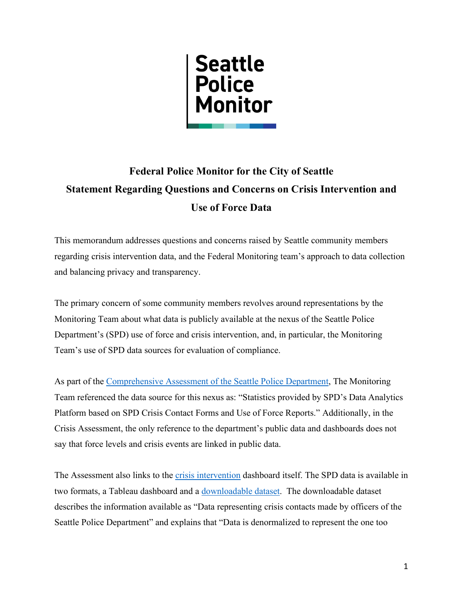

## **Federal Police Monitor for the City of Seattle Statement Regarding Questions and Concerns on Crisis Intervention and Use of Force Data**

This memorandum addresses questions and concerns raised by Seattle community members regarding crisis intervention data, and the Federal Monitoring team's approach to data collection and balancing privacy and transparency.

The primary concern of some community members revolves around representations by the Monitoring Team about what data is publicly available at the nexus of the Seattle Police Department's (SPD) use of force and crisis intervention, and, in particular, the Monitoring Team's use of SPD data sources for evaluation of compliance.

As part of the [Comprehensive Assessment of the Seattle](https://seattlepolicemonitor.org/sites/default/files/2022-05/Seattle_Police_Monitor_Comprehensive_Assessment.pdf) Police Department, The Monitoring Team referenced the data source for this nexus as: "Statistics provided by SPD's Data Analytics Platform based on SPD Crisis Contact Forms and Use of Force Reports." Additionally, in the Crisis Assessment, the only reference to the department's public data and dashboards does not say that force levels and crisis events are linked in public data.

The Assessment also links to the [crisis intervention](https://www.seattle.gov/police/information-and-data/crisis-contacts/crisis-contact-dashboard) dashboard itself. The SPD data is available in two formats, a Tableau dashboard and a [downloadable dataset.](https://data.seattle.gov/Public-Safety/Crisis-Data/i2q9-thny) The downloadable dataset describes the information available as "Data representing crisis contacts made by officers of the Seattle Police Department" and explains that "Data is denormalized to represent the one too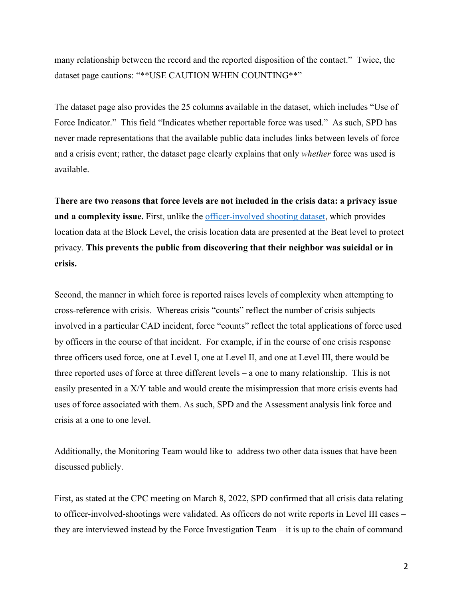many relationship between the record and the reported disposition of the contact." Twice, the dataset page cautions: "\*\*USE CAUTION WHEN COUNTING\*\*"

The dataset page also provides the 25 columns available in the dataset, which includes "Use of Force Indicator." This field "Indicates whether reportable force was used." As such, SPD has never made representations that the available public data includes links between levels of force and a crisis event; rather, the dataset page clearly explains that only *whether* force was used is available.

**There are two reasons that force levels are not included in the crisis data: a privacy issue**  and a complexity issue. First, unlike the [officer-involved shooting dataset,](https://data.seattle.gov/Public-Safety/SPD-Officer-Involved-Shooting-OIS-Data/mg5r-efcm) which provides location data at the Block Level, the crisis location data are presented at the Beat level to protect privacy. **This prevents the public from discovering that their neighbor was suicidal or in crisis.**

Second, the manner in which force is reported raises levels of complexity when attempting to cross-reference with crisis. Whereas crisis "counts" reflect the number of crisis subjects involved in a particular CAD incident, force "counts" reflect the total applications of force used by officers in the course of that incident. For example, if in the course of one crisis response three officers used force, one at Level I, one at Level II, and one at Level III, there would be three reported uses of force at three different levels – a one to many relationship. This is not easily presented in a X/Y table and would create the misimpression that more crisis events had uses of force associated with them. As such, SPD and the Assessment analysis link force and crisis at a one to one level.

Additionally, the Monitoring Team would like to address two other data issues that have been discussed publicly.

First, as stated at the CPC meeting on March 8, 2022, SPD confirmed that all crisis data relating to officer-involved-shootings were validated. As officers do not write reports in Level III cases – they are interviewed instead by the Force Investigation Team – it is up to the chain of command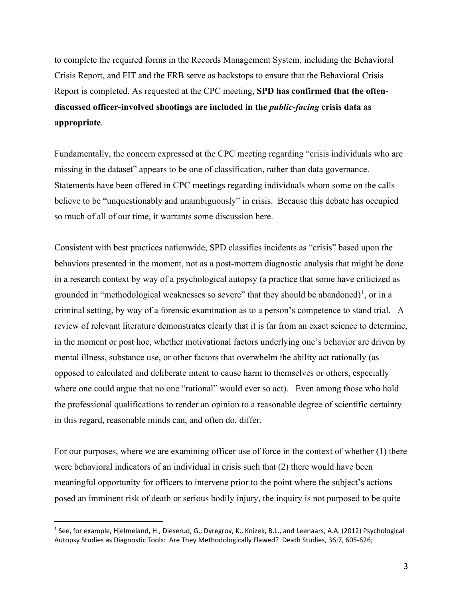to complete the required forms in the Records Management System, including the Behavioral Crisis Report, and FIT and the FRB serve as backstops to ensure that the Behavioral Crisis Report is completed. As requested at the CPC meeting, **SPD has confirmed that the oftendiscussed officer-involved shootings are included in the** *public-facing* **crisis data as appropriate**.

Fundamentally, the concern expressed at the CPC meeting regarding "crisis individuals who are missing in the dataset" appears to be one of classification, rather than data governance. Statements have been offered in CPC meetings regarding individuals whom some on the calls believe to be "unquestionably and unambiguously" in crisis. Because this debate has occupied so much of all of our time, it warrants some discussion here.

Consistent with best practices nationwide, SPD classifies incidents as "crisis" based upon the behaviors presented in the moment, not as a post-mortem diagnostic analysis that might be done in a research context by way of a psychological autopsy (a practice that some have criticized as grounded in "methodological weaknesses so severe" that they should be abandoned)<sup>[1](#page-2-0)</sup>, or in a criminal setting, by way of a forensic examination as to a person's competence to stand trial. A review of relevant literature demonstrates clearly that it is far from an exact science to determine, in the moment or post hoc, whether motivational factors underlying one's behavior are driven by mental illness, substance use, or other factors that overwhelm the ability act rationally (as opposed to calculated and deliberate intent to cause harm to themselves or others, especially where one could argue that no one "rational" would ever so act). Even among those who hold the professional qualifications to render an opinion to a reasonable degree of scientific certainty in this regard, reasonable minds can, and often do, differ.

For our purposes, where we are examining officer use of force in the context of whether (1) there were behavioral indicators of an individual in crisis such that (2) there would have been meaningful opportunity for officers to intervene prior to the point where the subject's actions posed an imminent risk of death or serious bodily injury, the inquiry is not purposed to be quite

<span id="page-2-0"></span><sup>1</sup> See, for example, Hjelmeland, H., Dieserud, G., Dyregrov, K., Knizek, B.L., and Leenaars, A.A. (2012) Psychological Autopsy Studies as Diagnostic Tools: Are They Methodologically Flawed? Death Studies, 36:7, 605-626;